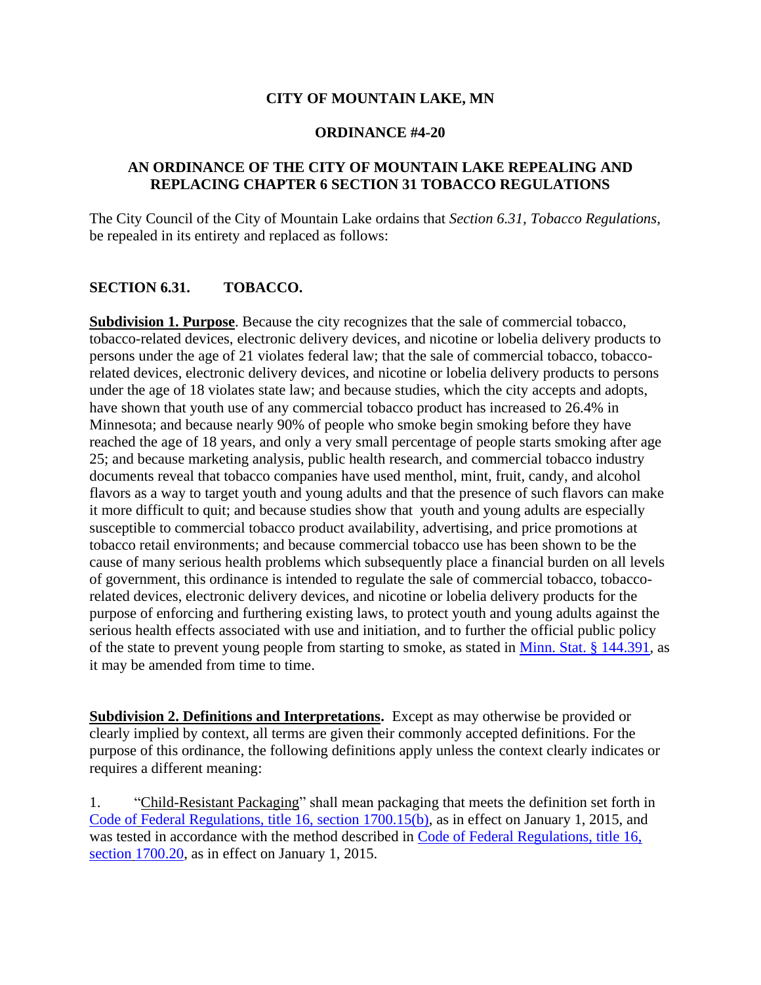#### **CITY OF MOUNTAIN LAKE, MN**

#### **ORDINANCE #4-20**

### **AN ORDINANCE OF THE CITY OF MOUNTAIN LAKE REPEALING AND REPLACING CHAPTER 6 SECTION 31 TOBACCO REGULATIONS**

The City Council of the City of Mountain Lake ordains that *Section 6.31, Tobacco Regulations,* be repealed in its entirety and replaced as follows:

### **SECTION 6.31. TOBACCO.**

**Subdivision 1. Purpose**. Because the city recognizes that the sale of commercial tobacco, tobacco-related devices, electronic delivery devices, and nicotine or lobelia delivery products to persons under the age of 21 violates federal law; that the sale of commercial tobacco, tobaccorelated devices, electronic delivery devices, and nicotine or lobelia delivery products to persons under the age of 18 violates state law; and because studies, which the city accepts and adopts, have shown that youth use of any commercial tobacco product has increased to 26.4% in Minnesota; and because nearly 90% of people who smoke begin smoking before they have reached the age of 18 years, and only a very small percentage of people starts smoking after age 25; and because marketing analysis, public health research, and commercial tobacco industry documents reveal that tobacco companies have used menthol, mint, fruit, candy, and alcohol flavors as a way to target youth and young adults and that the presence of such flavors can make it more difficult to quit; and because studies show that youth and young adults are especially susceptible to commercial tobacco product availability, advertising, and price promotions at tobacco retail environments; and because commercial tobacco use has been shown to be the cause of many serious health problems which subsequently place a financial burden on all levels of government, this ordinance is intended to regulate the sale of commercial tobacco, tobaccorelated devices, electronic delivery devices, and nicotine or lobelia delivery products for the purpose of enforcing and furthering existing laws, to protect youth and young adults against the serious health effects associated with use and initiation, and to further the official public policy of the state to prevent young people from starting to smoke, as stated in [Minn. Stat. § 144.391,](https://www.revisor.mn.gov/statutes/?id=144.391) as it may be amended from time to time.

**Subdivision 2. Definitions and Interpretations.** Except as may otherwise be provided or clearly implied by context, all terms are given their commonly accepted definitions. For the purpose of this ordinance, the following definitions apply unless the context clearly indicates or requires a different meaning:

1. "Child-Resistant Packaging" shall mean packaging that meets the definition set forth in [Code of](http://www.gpo.gov/fdsys/pkg/CFR-2012-title16-vol2/pdf/CFR-2012-title16-vol2-sec1700-15.pdf) [Federal Regulations, title 16, section 1700.15\(b\),](http://www.gpo.gov/fdsys/pkg/CFR-2012-title16-vol2/pdf/CFR-2012-title16-vol2-sec1700-15.pdf) as in effect on January 1, 2015, and was tested in accordance with the method described in [Code of Federal Regulations, title 16,](http://www.gpo.gov/fdsys/pkg/CFR-2012-title16-vol2/pdf/CFR-2012-title16-vol2-sec1700-20.pdf)  [section](http://www.gpo.gov/fdsys/pkg/CFR-2012-title16-vol2/pdf/CFR-2012-title16-vol2-sec1700-20.pdf) [1700.20,](http://www.gpo.gov/fdsys/pkg/CFR-2012-title16-vol2/pdf/CFR-2012-title16-vol2-sec1700-20.pdf) as in effect on January 1, 2015.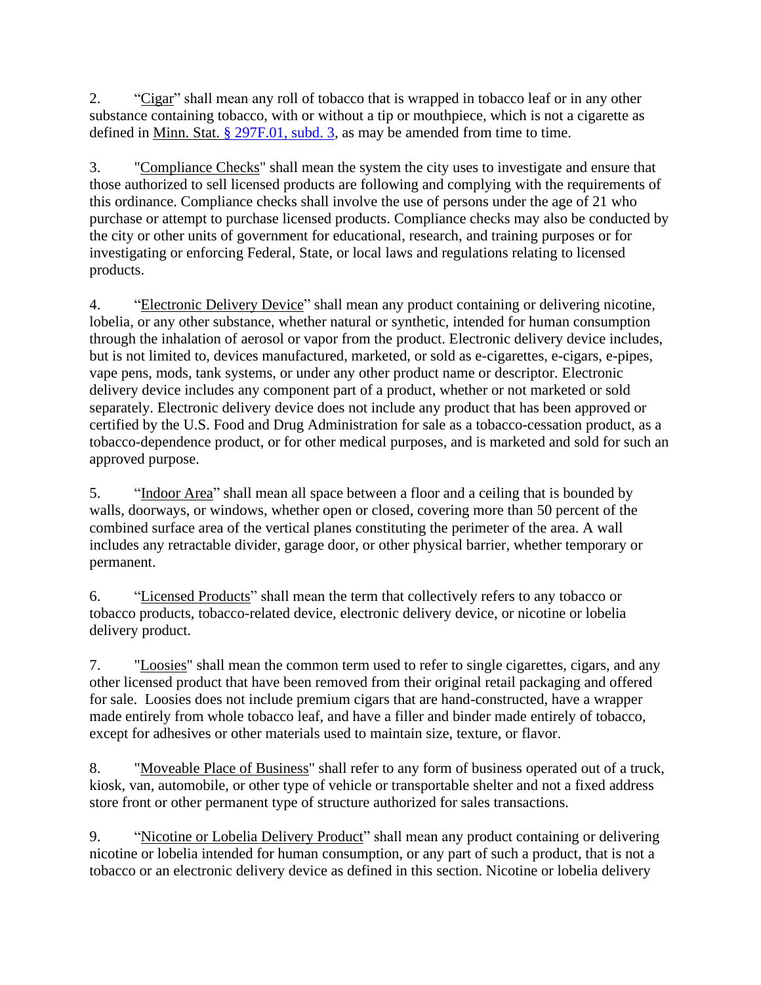2. "Cigar" shall mean any roll of tobacco that is wrapped in tobacco leaf or in any other substance containing tobacco, with or without a tip or mouthpiece, which is not a cigarette as defined in Minn. Stat.  $\S$  297F.01, subd. 3, as may be amended from time to time.

3. "Compliance Checks" shall mean the system the city uses to investigate and ensure that those authorized to sell licensed products are following and complying with the requirements of this ordinance. Compliance checks shall involve the use of persons under the age of 21 who purchase or attempt to purchase licensed products. Compliance checks may also be conducted by the city or other units of government for educational, research, and training purposes or for investigating or enforcing Federal, State, or local laws and regulations relating to licensed products.

4. "Electronic Delivery Device" shall mean any product containing or delivering nicotine, lobelia, or any other substance, whether natural or synthetic, intended for human consumption through the inhalation of aerosol or vapor from the product. Electronic delivery device includes, but is not limited to, devices manufactured, marketed, or sold as e-cigarettes, e-cigars, e-pipes, vape pens, mods, tank systems, or under any other product name or descriptor. Electronic delivery device includes any component part of a product, whether or not marketed or sold separately. Electronic delivery device does not include any product that has been approved or certified by the U.S. Food and Drug Administration for sale as a tobacco-cessation product, as a tobacco-dependence product, or for other medical purposes, and is marketed and sold for such an approved purpose.

5. "Indoor Area" shall mean all space between a floor and a ceiling that is bounded by walls, doorways, or windows, whether open or closed, covering more than 50 percent of the combined surface area of the vertical planes constituting the perimeter of the area. A wall includes any retractable divider, garage door, or other physical barrier, whether temporary or permanent.

6. "Licensed Products" shall mean the term that collectively refers to any tobacco or tobacco products, tobacco-related device, electronic delivery device, or nicotine or lobelia delivery product.

7. "Loosies" shall mean the common term used to refer to single cigarettes, cigars, and any other licensed product that have been removed from their original retail packaging and offered for sale. Loosies does not include premium cigars that are hand-constructed, have a wrapper made entirely from whole tobacco leaf, and have a filler and binder made entirely of tobacco, except for adhesives or other materials used to maintain size, texture, or flavor.

8. "Moveable Place of Business" shall refer to any form of business operated out of a truck, kiosk, van, automobile, or other type of vehicle or transportable shelter and not a fixed address store front or other permanent type of structure authorized for sales transactions.

9. "Nicotine or Lobelia Delivery Product" shall mean any product containing or delivering nicotine or lobelia intended for human consumption, or any part of such a product, that is not a tobacco or an electronic delivery device as defined in this section. Nicotine or lobelia delivery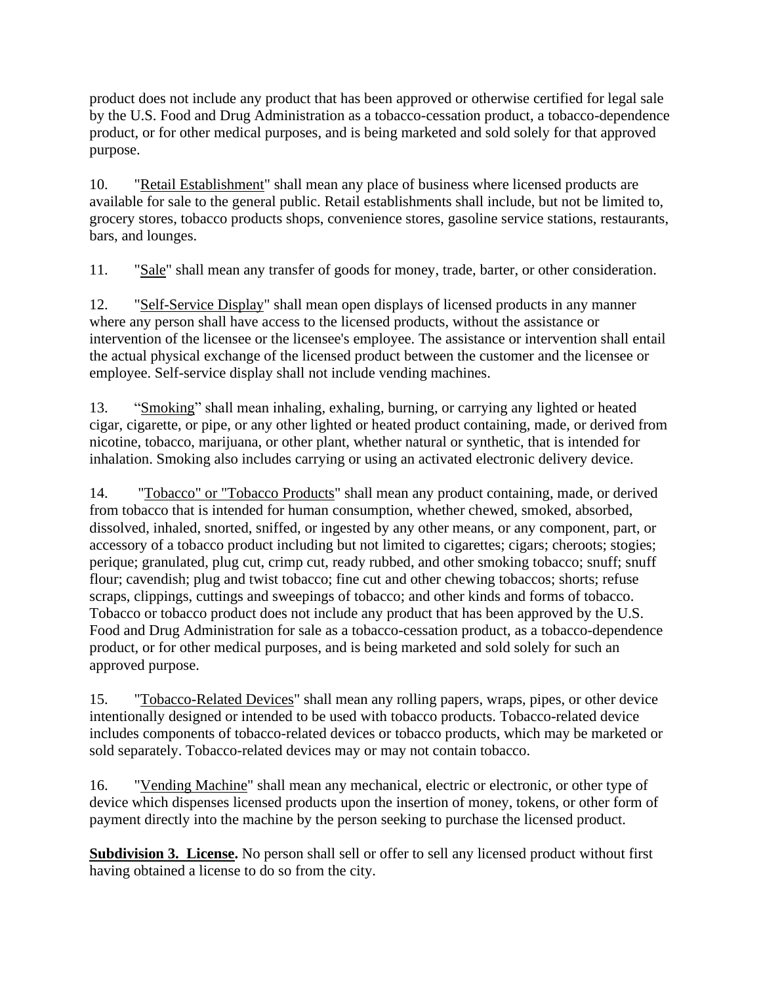product does not include any product that has been approved or otherwise certified for legal sale by the U.S. Food and Drug Administration as a tobacco-cessation product, a tobacco-dependence product, or for other medical purposes, and is being marketed and sold solely for that approved purpose.

10. "Retail Establishment" shall mean any place of business where licensed products are available for sale to the general public. Retail establishments shall include, but not be limited to, grocery stores, tobacco products shops, convenience stores, gasoline service stations, restaurants, bars, and lounges.

11. "Sale" shall mean any transfer of goods for money, trade, barter, or other consideration.

12. "Self-Service Display" shall mean open displays of licensed products in any manner where any person shall have access to the licensed products, without the assistance or intervention of the licensee or the licensee's employee. The assistance or intervention shall entail the actual physical exchange of the licensed product between the customer and the licensee or employee. Self-service display shall not include vending machines.

13. "Smoking" shall mean inhaling, exhaling, burning, or carrying any lighted or heated cigar, cigarette, or pipe, or any other lighted or heated product containing, made, or derived from nicotine, tobacco, marijuana, or other plant, whether natural or synthetic, that is intended for inhalation. Smoking also includes carrying or using an activated electronic delivery device.

14. "Tobacco" or "Tobacco Products" shall mean any product containing, made, or derived from tobacco that is intended for human consumption, whether chewed, smoked, absorbed, dissolved, inhaled, snorted, sniffed, or ingested by any other means, or any component, part, or accessory of a tobacco product including but not limited to cigarettes; cigars; cheroots; stogies; perique; granulated, plug cut, crimp cut, ready rubbed, and other smoking tobacco; snuff; snuff flour; cavendish; plug and twist tobacco; fine cut and other chewing tobaccos; shorts; refuse scraps, clippings, cuttings and sweepings of tobacco; and other kinds and forms of tobacco. Tobacco or tobacco product does not include any product that has been approved by the U.S. Food and Drug Administration for sale as a tobacco-cessation product, as a tobacco-dependence product, or for other medical purposes, and is being marketed and sold solely for such an approved purpose.

15. "Tobacco-Related Devices" shall mean any rolling papers, wraps, pipes, or other device intentionally designed or intended to be used with tobacco products. Tobacco-related device includes components of tobacco-related devices or tobacco products, which may be marketed or sold separately. Tobacco-related devices may or may not contain tobacco.

16. "Vending Machine" shall mean any mechanical, electric or electronic, or other type of device which dispenses licensed products upon the insertion of money, tokens, or other form of payment directly into the machine by the person seeking to purchase the licensed product.

**Subdivision 3. License.** No person shall sell or offer to sell any licensed product without first having obtained a license to do so from the city.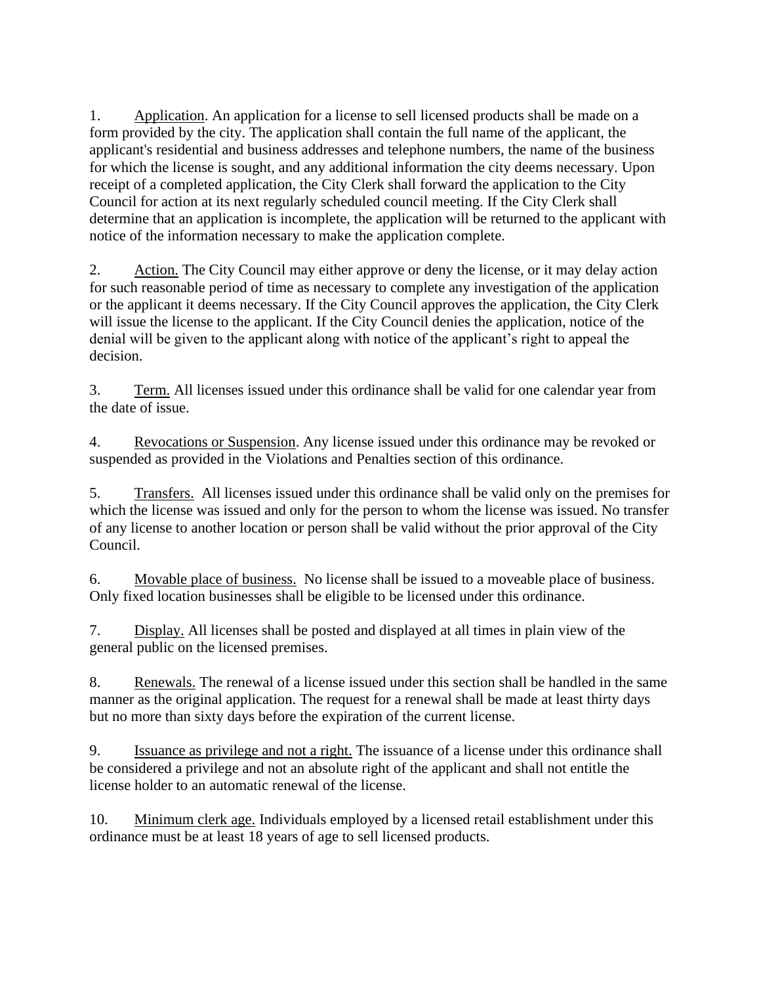1. Application. An application for a license to sell licensed products shall be made on a form provided by the city. The application shall contain the full name of the applicant, the applicant's residential and business addresses and telephone numbers, the name of the business for which the license is sought, and any additional information the city deems necessary. Upon receipt of a completed application, the City Clerk shall forward the application to the City Council for action at its next regularly scheduled council meeting. If the City Clerk shall determine that an application is incomplete, the application will be returned to the applicant with notice of the information necessary to make the application complete.

2. Action. The City Council may either approve or deny the license, or it may delay action for such reasonable period of time as necessary to complete any investigation of the application or the applicant it deems necessary. If the City Council approves the application, the City Clerk will issue the license to the applicant. If the City Council denies the application, notice of the denial will be given to the applicant along with notice of the applicant's right to appeal the decision.

3. Term. All licenses issued under this ordinance shall be valid for one calendar year from the date of issue.

4. Revocations or Suspension. Any license issued under this ordinance may be revoked or suspended as provided in the Violations and Penalties section of this ordinance.

5. Transfers. All licenses issued under this ordinance shall be valid only on the premises for which the license was issued and only for the person to whom the license was issued. No transfer of any license to another location or person shall be valid without the prior approval of the City Council.

6. Movable place of business. No license shall be issued to a moveable place of business. Only fixed location businesses shall be eligible to be licensed under this ordinance.

7. Display. All licenses shall be posted and displayed at all times in plain view of the general public on the licensed premises.

8. Renewals. The renewal of a license issued under this section shall be handled in the same manner as the original application. The request for a renewal shall be made at least thirty days but no more than sixty days before the expiration of the current license.

9. Issuance as privilege and not a right. The issuance of a license under this ordinance shall be considered a privilege and not an absolute right of the applicant and shall not entitle the license holder to an automatic renewal of the license.

10. Minimum clerk age. Individuals employed by a licensed retail establishment under this ordinance must be at least 18 years of age to sell licensed products.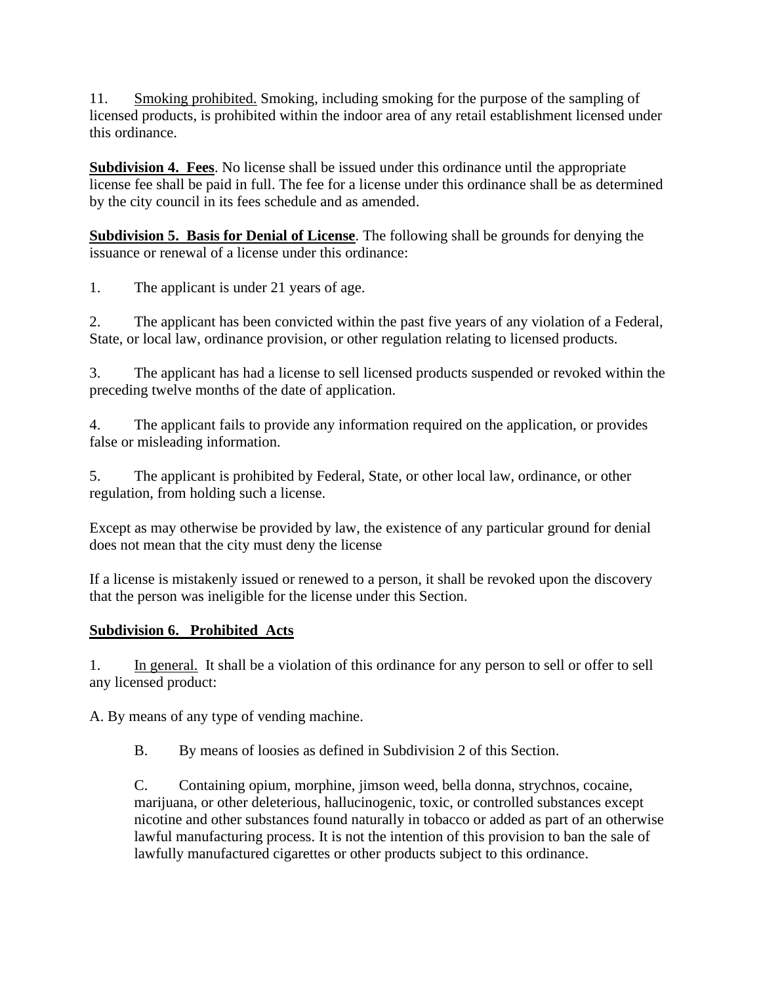11. Smoking prohibited. Smoking, including smoking for the purpose of the sampling of licensed products, is prohibited within the indoor area of any retail establishment licensed under this ordinance.

**Subdivision 4. Fees**. No license shall be issued under this ordinance until the appropriate license fee shall be paid in full. The fee for a license under this ordinance shall be as determined by the city council in its fees schedule and as amended.

**Subdivision 5. Basis for Denial of License**. The following shall be grounds for denying the issuance or renewal of a license under this ordinance:

1. The applicant is under 21 years of age.

2. The applicant has been convicted within the past five years of any violation of a Federal, State, or local law, ordinance provision, or other regulation relating to licensed products.

3. The applicant has had a license to sell licensed products suspended or revoked within the preceding twelve months of the date of application.

4. The applicant fails to provide any information required on the application, or provides false or misleading information.

5. The applicant is prohibited by Federal, State, or other local law, ordinance, or other regulation, from holding such a license.

Except as may otherwise be provided by law, the existence of any particular ground for denial does not mean that the city must deny the license

If a license is mistakenly issued or renewed to a person, it shall be revoked upon the discovery that the person was ineligible for the license under this Section.

## **Subdivision 6. Prohibited Acts**

1. In general. It shall be a violation of this ordinance for any person to sell or offer to sell any licensed product:

A. By means of any type of vending machine.

B. By means of loosies as defined in Subdivision 2 of this Section.

C. Containing opium, morphine, jimson weed, bella donna, strychnos, cocaine, marijuana, or other deleterious, hallucinogenic, toxic, or controlled substances except nicotine and other substances found naturally in tobacco or added as part of an otherwise lawful manufacturing process. It is not the intention of this provision to ban the sale of lawfully manufactured cigarettes or other products subject to this ordinance.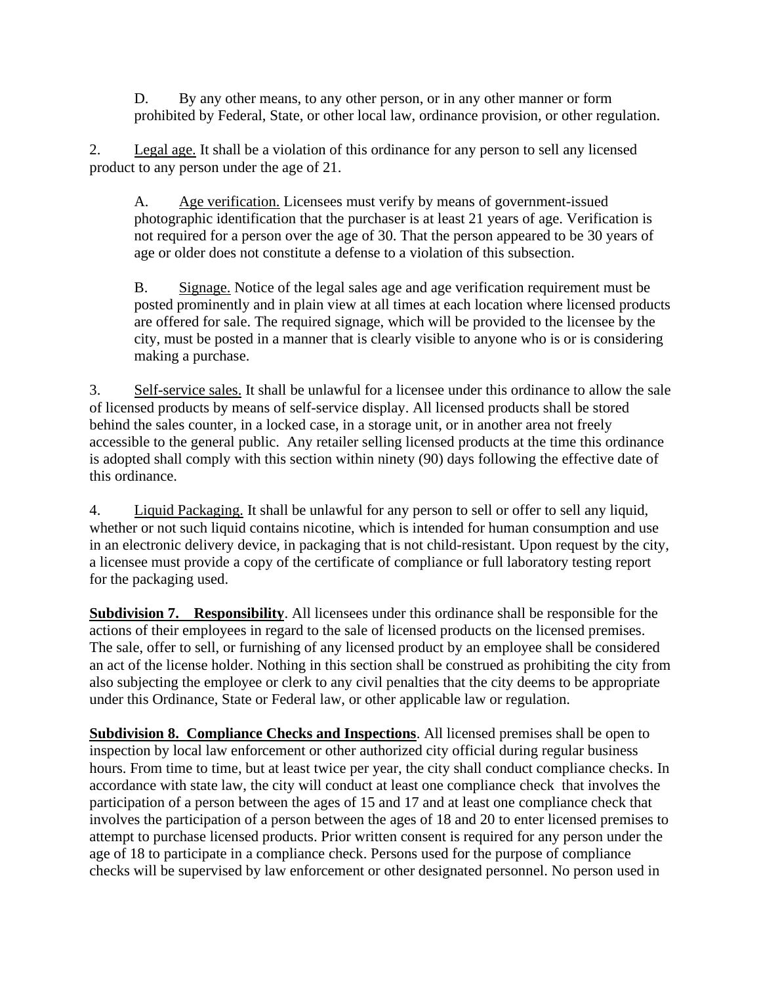D. By any other means, to any other person, or in any other manner or form prohibited by Federal, State, or other local law, ordinance provision, or other regulation.

2. Legal age. It shall be a violation of this ordinance for any person to sell any licensed product to any person under the age of 21.

A. Age verification. Licensees must verify by means of government-issued photographic identification that the purchaser is at least 21 years of age. Verification is not required for a person over the age of 30. That the person appeared to be 30 years of age or older does not constitute a defense to a violation of this subsection.

B. Signage. Notice of the legal sales age and age verification requirement must be posted prominently and in plain view at all times at each location where licensed products are offered for sale. The required signage, which will be provided to the licensee by the city, must be posted in a manner that is clearly visible to anyone who is or is considering making a purchase.

3. Self-service sales. It shall be unlawful for a licensee under this ordinance to allow the sale of licensed products by means of self-service display. All licensed products shall be stored behind the sales counter, in a locked case, in a storage unit, or in another area not freely accessible to the general public. Any retailer selling licensed products at the time this ordinance is adopted shall comply with this section within ninety (90) days following the effective date of this ordinance.

4. Liquid Packaging. It shall be unlawful for any person to sell or offer to sell any liquid, whether or not such liquid contains nicotine, which is intended for human consumption and use in an electronic delivery device, in packaging that is not child-resistant. Upon request by the city, a licensee must provide a copy of the certificate of compliance or full laboratory testing report for the packaging used.

**Subdivision 7. Responsibility**. All licensees under this ordinance shall be responsible for the actions of their employees in regard to the sale of licensed products on the licensed premises. The sale, offer to sell, or furnishing of any licensed product by an employee shall be considered an act of the license holder. Nothing in this section shall be construed as prohibiting the city from also subjecting the employee or clerk to any civil penalties that the city deems to be appropriate under this Ordinance, State or Federal law, or other applicable law or regulation.

**Subdivision 8. Compliance Checks and Inspections**. All licensed premises shall be open to inspection by local law enforcement or other authorized city official during regular business hours. From time to time, but at least twice per year, the city shall conduct compliance checks. In accordance with state law, the city will conduct at least one compliance check that involves the participation of a person between the ages of 15 and 17 and at least one compliance check that involves the participation of a person between the ages of 18 and 20 to enter licensed premises to attempt to purchase licensed products. Prior written consent is required for any person under the age of 18 to participate in a compliance check. Persons used for the purpose of compliance checks will be supervised by law enforcement or other designated personnel. No person used in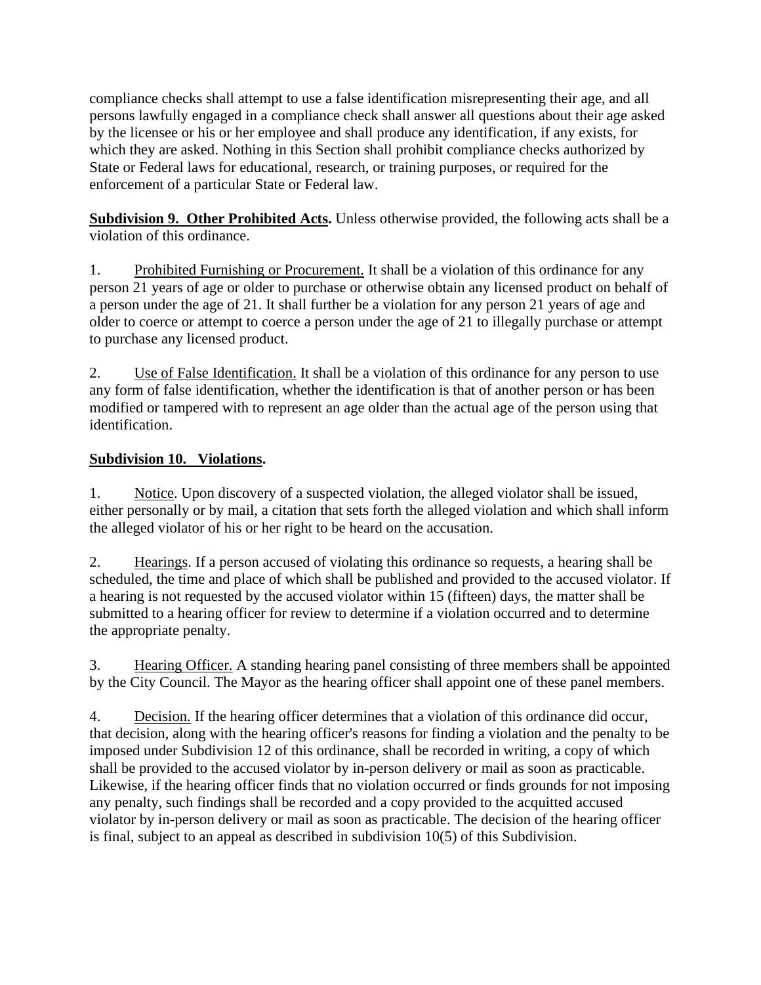compliance checks shall attempt to use a false identification misrepresenting their age, and all persons lawfully engaged in a compliance check shall answer all questions about their age asked by the licensee or his or her employee and shall produce any identification, if any exists, for which they are asked. Nothing in this Section shall prohibit compliance checks authorized by State or Federal laws for educational, research, or training purposes, or required for the enforcement of a particular State or Federal law.

**Subdivision 9. Other Prohibited Acts.** Unless otherwise provided, the following acts shall be a violation of this ordinance.

1. Prohibited Furnishing or Procurement. It shall be a violation of this ordinance for any person 21 years of age or older to purchase or otherwise obtain any licensed product on behalf of a person under the age of 21. It shall further be a violation for any person 21 years of age and older to coerce or attempt to coerce a person under the age of 21 to illegally purchase or attempt to purchase any licensed product.

2. Use of False Identification. It shall be a violation of this ordinance for any person to use any form of false identification, whether the identification is that of another person or has been modified or tampered with to represent an age older than the actual age of the person using that identification.

## **Subdivision 10. Violations.**

1. Notice. Upon discovery of a suspected violation, the alleged violator shall be issued, either personally or by mail, a citation that sets forth the alleged violation and which shall inform the alleged violator of his or her right to be heard on the accusation.

2. Hearings. If a person accused of violating this ordinance so requests, a hearing shall be scheduled, the time and place of which shall be published and provided to the accused violator. If a hearing is not requested by the accused violator within 15 (fifteen) days, the matter shall be submitted to a hearing officer for review to determine if a violation occurred and to determine the appropriate penalty.

3. Hearing Officer. A standing hearing panel consisting of three members shall be appointed by the City Council. The Mayor as the hearing officer shall appoint one of these panel members.

4. Decision. If the hearing officer determines that a violation of this ordinance did occur, that decision, along with the hearing officer's reasons for finding a violation and the penalty to be imposed under Subdivision 12 of this ordinance, shall be recorded in writing, a copy of which shall be provided to the accused violator by in-person delivery or mail as soon as practicable. Likewise, if the hearing officer finds that no violation occurred or finds grounds for not imposing any penalty, such findings shall be recorded and a copy provided to the acquitted accused violator by in-person delivery or mail as soon as practicable. The decision of the hearing officer is final, subject to an appeal as described in subdivision 10(5) of this Subdivision.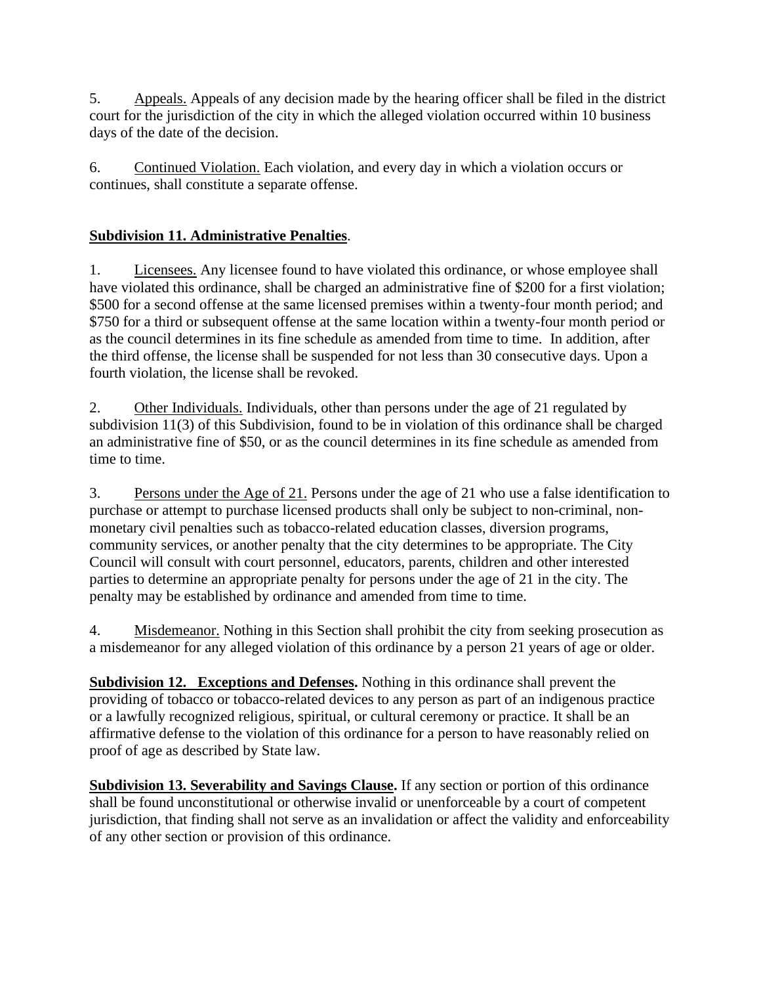5. Appeals. Appeals of any decision made by the hearing officer shall be filed in the district court for the jurisdiction of the city in which the alleged violation occurred within 10 business days of the date of the decision.

6. Continued Violation. Each violation, and every day in which a violation occurs or continues, shall constitute a separate offense.

# **Subdivision 11. Administrative Penalties**.

1. Licensees. Any licensee found to have violated this ordinance, or whose employee shall have violated this ordinance, shall be charged an administrative fine of \$200 for a first violation; \$500 for a second offense at the same licensed premises within a twenty-four month period; and \$750 for a third or subsequent offense at the same location within a twenty-four month period or as the council determines in its fine schedule as amended from time to time. In addition, after the third offense, the license shall be suspended for not less than 30 consecutive days. Upon a fourth violation, the license shall be revoked.

2. Other Individuals. Individuals, other than persons under the age of 21 regulated by subdivision 11(3) of this Subdivision, found to be in violation of this ordinance shall be charged an administrative fine of \$50, or as the council determines in its fine schedule as amended from time to time.

3. Persons under the Age of 21. Persons under the age of 21 who use a false identification to purchase or attempt to purchase licensed products shall only be subject to non-criminal, nonmonetary civil penalties such as tobacco-related education classes, diversion programs, community services, or another penalty that the city determines to be appropriate. The City Council will consult with court personnel, educators, parents, children and other interested parties to determine an appropriate penalty for persons under the age of 21 in the city. The penalty may be established by ordinance and amended from time to time.

4. Misdemeanor. Nothing in this Section shall prohibit the city from seeking prosecution as a misdemeanor for any alleged violation of this ordinance by a person 21 years of age or older.

**Subdivision 12. Exceptions and Defenses.** Nothing in this ordinance shall prevent the providing of tobacco or tobacco-related devices to any person as part of an indigenous practice or a lawfully recognized religious, spiritual, or cultural ceremony or practice. It shall be an affirmative defense to the violation of this ordinance for a person to have reasonably relied on proof of age as described by State law.

**Subdivision 13. Severability and Savings Clause.** If any section or portion of this ordinance shall be found unconstitutional or otherwise invalid or unenforceable by a court of competent jurisdiction, that finding shall not serve as an invalidation or affect the validity and enforceability of any other section or provision of this ordinance.